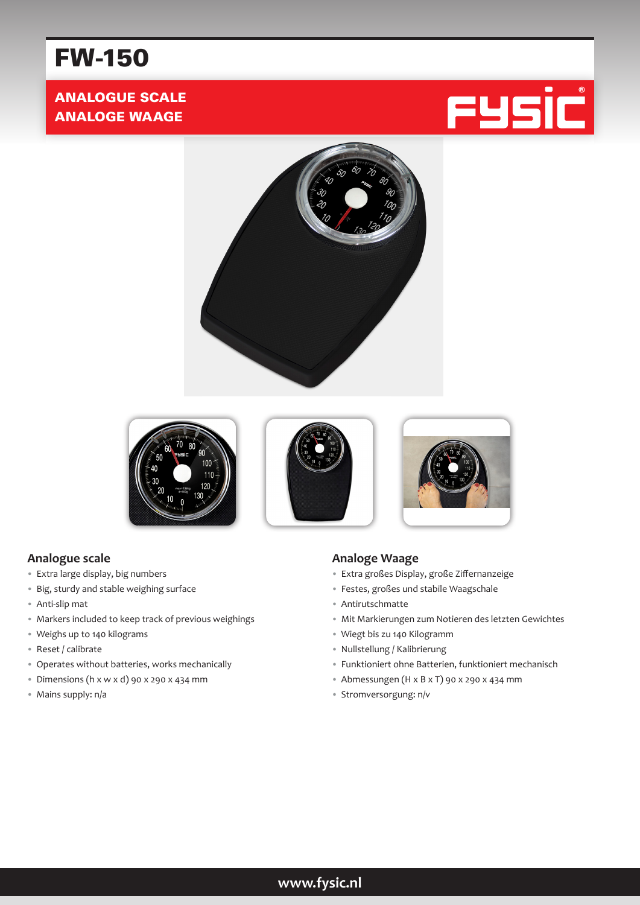# FW-150

## ANALOGUE SCALE ANALOGE WAAGE











#### **Analogue scale**

- Extra large display, big numbers
- Big, sturdy and stable weighing surface
- Anti-slip mat
- Markers included to keep track of previous weighings
- Weighs up to 140 kilograms
- Reset / calibrate
- Operates without batteries, works mechanically
- Dimensions (h x w x d) 90 x 290 x 434 mm
- Mains supply: n/a

#### **Analoge Waage**

- Extra großes Display, große Ziffernanzeige
- Festes, großes und stabile Waagschale
- Antirutschmatte
- Mit Markierungen zum Notieren des letzten Gewichtes
- Wiegt bis zu 140 Kilogramm
- Nullstellung / Kalibrierung
- Funktioniert ohne Batterien, funktioniert mechanisch
- Abmessungen (H x B x T) 90 x 290 x 434 mm
- Stromversorgung: n/v